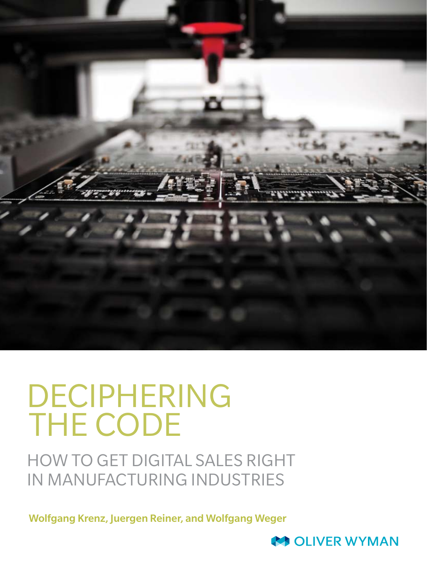

# DECIPHERING THE CODE

HOW TO GET DIGITAL SALES RIGHT IN MANUFACTURING INDUSTRIES

Wolfgang Krenz, Juergen Reiner, and Wolfgang Weger

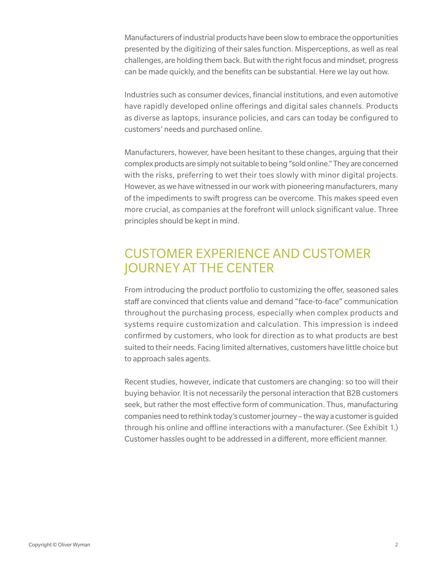Manufacturers of industrial products have been slow to embrace the opportunities presented by the digitizing of their sales function. Misperceptions, as well as real challenges, are holding them back. But with the right focus and mindset, progress can be made quickly, and the benefits can be substantial. Here we lay out how.

Industries such as consumer devices, financial institutions, and even automotive have rapidly developed online offerings and digital sales channels. Products as diverse as laptops, insurance policies, and cars can today be configured to customers' needs and purchased online.

Manufacturers, however, have been hesitant to these changes, arguing that their complex products are simply not suitable to being "sold online." They are concerned with the risks, preferring to wet their toes slowly with minor digital projects. However, as we have witnessed in our work with pioneering manufacturers, many of the impediments to swift progress can be overcome. This makes speed even more crucial, as companies at the forefront will unlock significant value. Three principles should be kept in mind.

## CUSTOMER EXPERIENCE AND CUSTOMER JOURNEY AT THE CENTER

From introducing the product portfolio to customizing the offer, seasoned sales staff are convinced that clients value and demand "face-to-face" communication throughout the purchasing process, especially when complex products and systems require customization and calculation. This impression is indeed confirmed by customers, who look for direction as to what products are best suited to their needs. Facing limited alternatives, customers have little choice but to approach sales agents.

Recent studies, however, indicate that customers are changing: so too will their buying behavior. It is not necessarily the personal interaction that B2B customers seek, but rather the most effective form of communication. Thus, manufacturing companies need to rethink today's customer journey – the way a customer is guided through his online and offline interactions with a manufacturer. (See Exhibit 1.) Customer hassles ought to be addressed in a different, more efficient manner.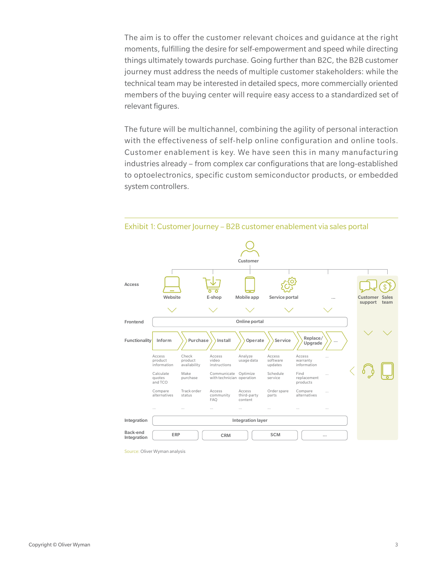The aim is to offer the customer relevant choices and guidance at the right moments, fulfilling the desire for self-empowerment and speed while directing things ultimately towards purchase. Going further than B2C, the B2B customer journey must address the needs of multiple customer stakeholders: while the technical team may be interested in detailed specs, more commercially oriented members of the buying center will require easy access to a standardized set of relevant figures.

The future will be multichannel, combining the agility of personal interaction with the effectiveness of self-help online configuration and online tools. Customer enablement is key. We have seen this in many manufacturing industries already – from complex car configurations that are long-established to optoelectronics, specific custom semiconductor products, or embedded system controllers.



Exhibit 1: Customer Journey – B2B customer enablement via sales portal

Source: Oliver Wyman analysis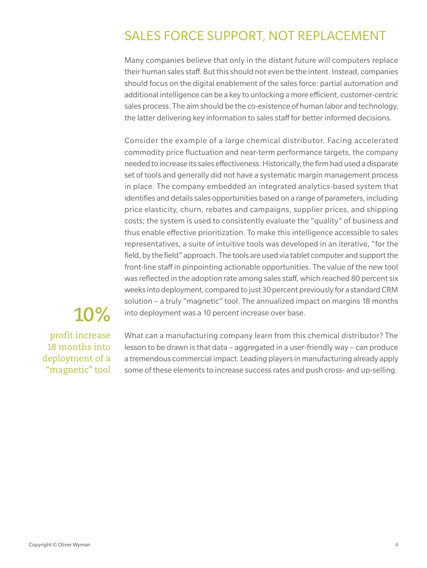## SALES FORCE SUPPORT, NOT REPLACEMENT

Many companies believe that only in the distant future will computers replace their human sales staff. But this should not even be the intent. Instead, companies should focus on the digital enablement of the sales force: partial automation and additional intelligence can be a key to unlocking a more efficient, customer-centric sales process. The aim should be the co-existence of human labor and technology, the latter delivering key information to sales staff for better informed decisions.

Consider the example of a large chemical distributor. Facing accelerated commodity price fluctuation and near-term performance targets, the company needed to increase its sales effectiveness. Historically, the firm had used a disparate set of tools and generally did not have a systematic margin management process in place. The company embedded an integrated analytics-based system that identifies and details sales opportunities based on a range of parameters, including price elasticity, churn, rebates and campaigns, supplier prices, and shipping costs; the system is used to consistently evaluate the "quality" of business and thus enable effective prioritization. To make this intelligence accessible to sales representatives, a suite of intuitive tools was developed in an iterative, "for the field, by the field" approach. The tools are used via tablet computer and support the front-line staff in pinpointing actionable opportunities. The value of the new tool was reflected in the adoption rate among sales staff, which reached 80 percent six weeks into deployment, compared to just 30 percent previously for a standard CRM solution – a truly "magnetic" tool. The annualized impact on margins 18 months into deployment was a 10 percent increase over base.

## **10%**

profit increase 18 months into deployment of a "magnetic" tool

What can a manufacturing company learn from this chemical distributor? The lesson to be drawn is that data – aggregated in a user-friendly way – can produce a tremendous commercial impact. Leading players in manufacturing already apply some of these elements to increase success rates and push cross- and up-selling.